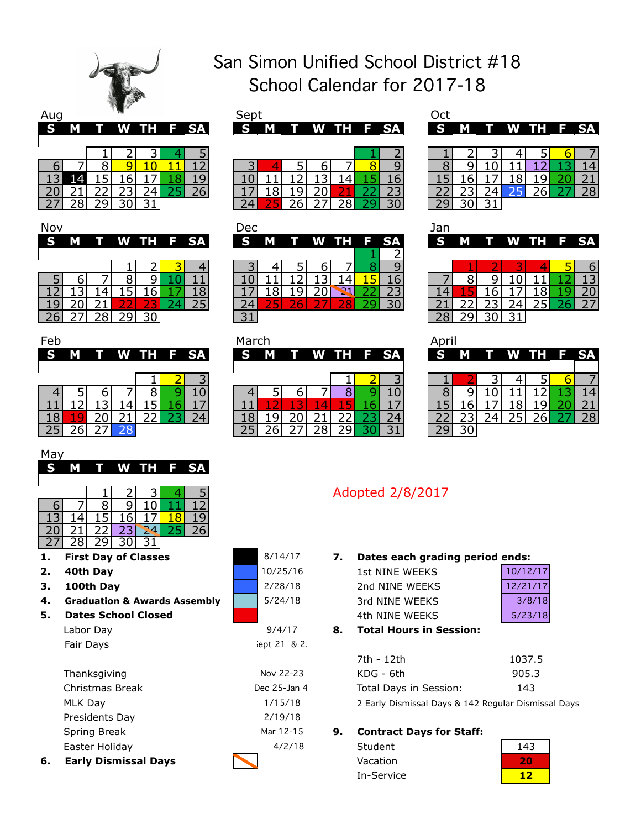

| <b>S</b> | м |  |  | T W TH F SA | <b>SMTWTHFSA</b> |  |  |  | S M |  | T W TH F SA |    |
|----------|---|--|--|-------------|------------------|--|--|--|-----|--|-------------|----|
|          |   |  |  |             |                  |  |  |  |     |  |             |    |
|          |   |  |  |             |                  |  |  |  |     |  |             |    |
|          |   |  |  |             |                  |  |  |  |     |  |             |    |
|          |   |  |  |             |                  |  |  |  |     |  |             |    |
|          |   |  |  |             |                  |  |  |  |     |  |             | 28 |
|          |   |  |  |             |                  |  |  |  |     |  |             |    |

# Nov Dec Jan



| May |  |   |    |   |  |
|-----|--|---|----|---|--|
|     |  | W | тн | E |  |
|     |  |   |    |   |  |
|     |  |   |    |   |  |
|     |  |   |    |   |  |

|  |                |  | 13 14 15 16 17 18 19 |  |
|--|----------------|--|----------------------|--|
|  |                |  | 20 21 22 23 24 25 26 |  |
|  | 27 28 29 30 31 |  |                      |  |

- **First Day of Classes**
- **2. 40th Day**
- **3. 100th Day**
- **4. Graduation & Awards Assembly**
- **5. Dates School Closed**

| Labor Day |  |
|-----------|--|
| Fair Days |  |
|           |  |

| 6. | <b>Early Dismissal Days</b> |              |
|----|-----------------------------|--------------|
|    | Easter Holiday              | 4/2/18       |
|    | Spring Break                | Mar 12-15    |
|    | Presidents Day              | 2/19/18      |
|    | MLK Day                     | 1/15/18      |
|    | Christmas Break             | Dec 25-Jan 4 |
|    | Thanksgiving                | Nov 22-23    |

# San Simon Unified School District #18 School Calendar for 2017-18

| Aug |   | w |   |             | Sept     |   |             |  |  |   |   |   |
|-----|---|---|---|-------------|----------|---|-------------|--|--|---|---|---|
| S   | М |   |   | T W TH F SA | <b>S</b> | М | T W TH F SA |  |  | S | M |   |
|     |   |   |   |             |          |   |             |  |  |   |   |   |
|     |   |   |   |             |          |   |             |  |  |   |   | ר |
|     |   |   |   |             |          |   |             |  |  |   |   |   |
|     |   |   |   |             |          |   |             |  |  |   |   |   |
|     |   |   |   |             |          |   |             |  |  |   |   |   |
|     |   | ∽ | ∽ |             |          |   |             |  |  |   |   |   |
|     |   |   |   |             |          |   |             |  |  |   |   |   |

| Jov |  |                 |  |  | Dec    |  |             |  | Jar |  |                 |  |
|-----|--|-----------------|--|--|--------|--|-------------|--|-----|--|-----------------|--|
|     |  | S M T W TH F SA |  |  | S M    |  | T W TH F SA |  |     |  | S M T W TH F SA |  |
|     |  |                 |  |  |        |  |             |  |     |  |                 |  |
|     |  |                 |  |  |        |  |             |  |     |  |                 |  |
|     |  |                 |  |  |        |  |             |  |     |  |                 |  |
|     |  |                 |  |  |        |  |             |  |     |  |                 |  |
|     |  |                 |  |  |        |  |             |  |     |  |                 |  |
| 26  |  |                 |  |  | $\sim$ |  |             |  |     |  |                 |  |

| b |   |  |             |  | March    |   |  |  |             |   |   |  |             |  |
|---|---|--|-------------|--|----------|---|--|--|-------------|---|---|--|-------------|--|
|   | M |  | T W TH F SA |  | <b>S</b> | M |  |  | T W TH F SA | S | M |  | T W TH F SA |  |
|   |   |  |             |  |          |   |  |  |             |   |   |  |             |  |
|   |   |  |             |  |          |   |  |  |             |   |   |  |             |  |
|   |   |  |             |  |          |   |  |  |             |   |   |  |             |  |
|   |   |  |             |  |          |   |  |  |             |   |   |  |             |  |
| 8 |   |  |             |  |          |   |  |  |             |   |   |  |             |  |
| Ę |   |  |             |  |          |   |  |  |             |   |   |  |             |  |

5/24/18

2/28/18

8/14/17 10/25/16

lept 21 & 2.

9/4/17

| ıq |   |  |  |             | Sep      |   |  |  |             |          |   |  |             |    |
|----|---|--|--|-------------|----------|---|--|--|-------------|----------|---|--|-------------|----|
|    | M |  |  | T W TH F SA | <b>S</b> | M |  |  | T W TH F SA | <b>S</b> | M |  | T W TH F SA |    |
|    |   |  |  |             |          |   |  |  |             |          |   |  |             |    |
|    |   |  |  |             |          |   |  |  |             |          |   |  |             |    |
| 6  |   |  |  |             |          |   |  |  |             |          |   |  |             |    |
|    |   |  |  |             |          |   |  |  |             |          |   |  |             |    |
|    |   |  |  |             |          |   |  |  |             |          |   |  |             | າດ |
|    |   |  |  |             |          |   |  |  | 20          |          |   |  |             |    |
|    |   |  |  |             |          |   |  |  |             |          |   |  |             |    |

| Jan |   |   |      |    |           |
|-----|---|---|------|----|-----------|
|     | ı | w | 1 TH | F. | <b>SA</b> |
|     |   |   |      |    |           |
|     | ٦ |   |      |    |           |
|     |   |   |      |    |           |
|     |   |   |      |    |           |
|     |   |   |      |    |           |

| April |   |   |        |   |    |    |
|-------|---|---|--------|---|----|----|
| E     | M | Π | ' W TH |   | F. | SА |
|       |   |   |        |   |    |    |
|       |   |   |        |   |    |    |
|       |   |   |        | Ξ |    |    |
|       |   |   |        |   | L  |    |
|       |   |   |        |   |    |    |
|       |   |   |        |   |    |    |

# Adopted 2/8/2017

## **1. 7. Dates each grading period ends:**

| 1st NINE WEEKS | 10/12/17 |
|----------------|----------|
| 2nd NINE WEEKS | 12/21/17 |
| 3rd NINF WFFKS | 3/8/18   |
| 4th NINF WFFKS | 5/23/18  |

#### **8. Total Hours in Session:**

| 7th - 12th             | 1037.5 |
|------------------------|--------|
| KDG - 6th              | 905.3  |
| Total Days in Session: | 143    |
|                        |        |

2 Early Dismissal Days & 142 Regular Dismissal Days

#### **9. Contract Days for Staff:**

| Student    | 143 |
|------------|-----|
| Vacation   |     |
| In-Service |     |